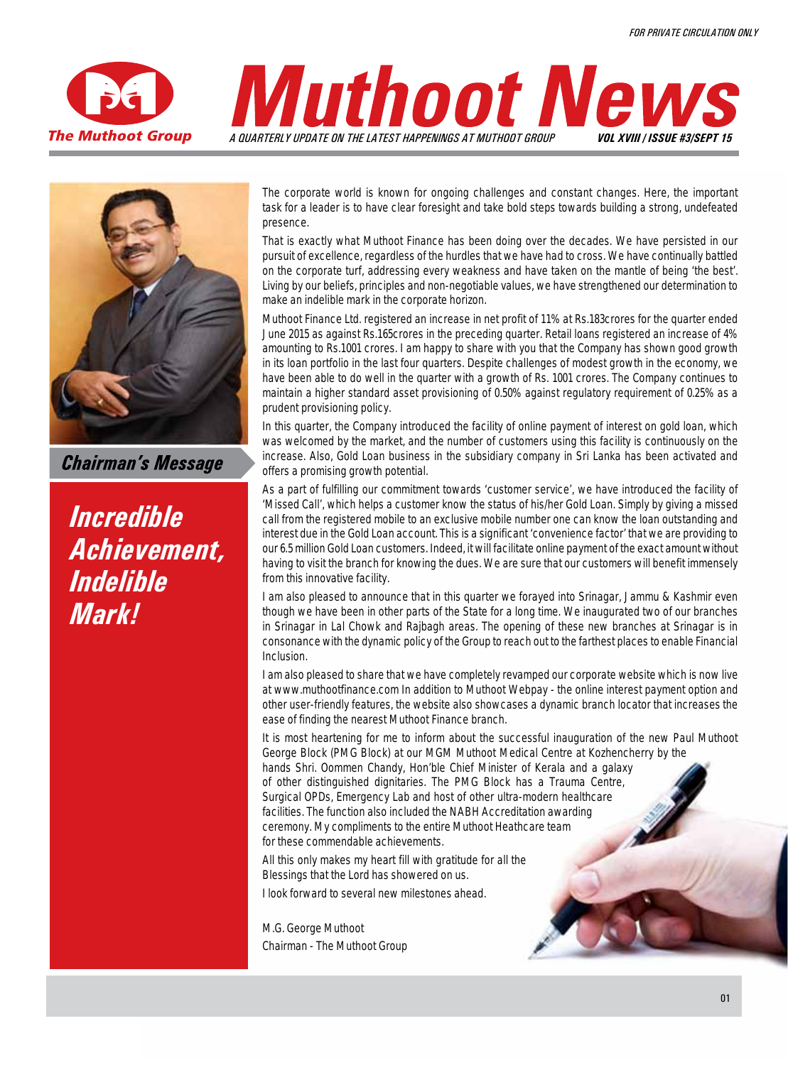



**Chairman's Message** 

*Incredible Achievement, Indelible Mark!*

The corporate world is known for ongoing challenges and constant changes. Here, the important task for a leader is to have clear foresight and take bold steps towards building a strong, undefeated presence.

That is exactly what Muthoot Finance has been doing over the decades. We have persisted in our pursuit of excellence, regardless of the hurdles that we have had to cross. We have continually battled on the corporate turf, addressing every weakness and have taken on the mantle of being 'the best'. Living by our beliefs, principles and non-negotiable values, we have strengthened our determination to make an indelible mark in the corporate horizon.

Muthoot Finance Ltd. registered an increase in net profit of 11% at Rs.183crores for the quarter ended June 2015 as against Rs.165crores in the preceding quarter. Retail loans registered an increase of 4% amounting to Rs.1001 crores. I am happy to share with you that the Company has shown good growth in its loan portfolio in the last four quarters. Despite challenges of modest growth in the economy, we have been able to do well in the quarter with a growth of Rs. 1001 crores. The Company continues to maintain a higher standard asset provisioning of 0.50% against regulatory requirement of 0.25% as a prudent provisioning policy.

In this quarter, the Company introduced the facility of online payment of interest on gold loan, which was welcomed by the market, and the number of customers using this facility is continuously on the increase. Also, Gold Loan business in the subsidiary company in Sri Lanka has been activated and offers a promising growth potential.

As a part of fulfilling our commitment towards 'customer service', we have introduced the facility of 'Missed Call', which helps a customer know the status of his/her Gold Loan. Simply by giving a missed call from the registered mobile to an exclusive mobile number one can know the loan outstanding and interest due in the Gold Loan account. This is a significant 'convenience factor' that we are providing to our 6.5 million Gold Loan customers. Indeed, it will facilitate online payment of the exact amount without having to visit the branch for knowing the dues. We are sure that our customers will benefit immensely from this innovative facility.

I am also pleased to announce that in this quarter we forayed into Srinagar, Jammu & Kashmir even though we have been in other parts of the State for a long time. We inaugurated two of our branches in Srinagar in Lal Chowk and Rajbagh areas. The opening of these new branches at Srinagar is in consonance with the dynamic policy of the Group to reach out to the farthest places to enable Financial Inclusion.

I am also pleased to share that we have completely revamped our corporate website which is now live at www.muthootfinance.com In addition to Muthoot Webpay - the online interest payment option and other user-friendly features, the website also showcases a dynamic branch locator that increases the ease of finding the nearest Muthoot Finance branch.

It is most heartening for me to inform about the successful inauguration of the new Paul Muthoot George Block (PMG Block) at our MGM Muthoot Medical Centre at Kozhencherry by the hands Shri. Oommen Chandy, Hon'ble Chief Minister of Kerala and a galaxy of other distinguished dignitaries. The PMG Block has a Trauma Centre, Surgical OPDs, Emergency Lab and host of other ultra-modern healthcare facilities. The function also included the NABH Accreditation awarding ceremony. My compliments to the entire Muthoot Heathcare team for these commendable achievements.

All this only makes my heart fill with gratitude for all the Blessings that the Lord has showered on us.

I look forward to several new milestones ahead.

**M.G. George Muthoot** Chairman - The Muthoot Group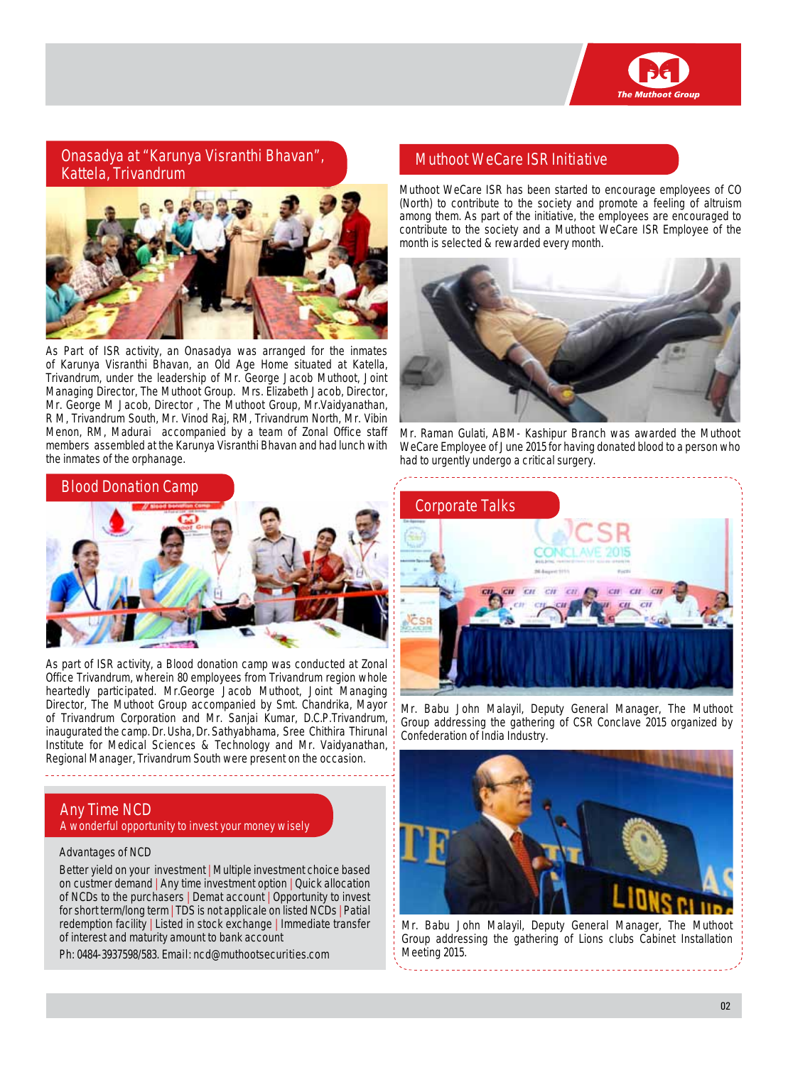

**Onasadya at "Karunya Visranthi Bhavan", Kattela, Trivandrum** 



As Part of ISR activity, an Onasadya was arranged for the inmates of Karunya Visranthi Bhavan, an Old Age Home situated at Katella, Trivandrum, under the leadership of Mr. George Jacob Muthoot, Joint Managing Director, The Muthoot Group. Mrs. Elizabeth Jacob, Director, Mr. George M Jacob, Director , The Muthoot Group, Mr.Vaidyanathan, R M, Trivandrum South, Mr. Vinod Raj, RM, Trivandrum North, Mr. Vibin Menon, RM, Madurai accompanied by a team of Zonal Office staff members assembled at the Karunya Visranthi Bhavan and had lunch with the inmates of the orphanage.

#### **Blood Donation Camp**



As part of ISR activity, a Blood donation camp was conducted at Zonal Office Trivandrum, wherein 80 employees from Trivandrum region whole heartedly participated. Mr.George Jacob Muthoot, Joint Managing Director, The Muthoot Group accompanied by Smt. Chandrika, Mayor of Trivandrum Corporation and Mr. Sanjai Kumar, D.C.P.Trivandrum, inaugurated the camp. Dr. Usha, Dr. Sathyabhama, Sree Chithira Thirunal Institute for Medical Sciences & Technology and Mr. Vaidyanathan, Regional Manager, Trivandrum South were present on the occasion.

#### **Any Time NCD A wonderful opportunity to invest your money wisely**

#### **Advantages of NCD**

Better yield on your investment | Multiple investment choice based on custmer demand | Any time investment option | Quick allocation of NCDs to the purchasers | Demat account | Opportunity to invest for short term/long term | TDS is not applicale on listed NCDs | Patial redemption facility | Listed in stock exchange | Immediate transfer of interest and maturity amount to bank account

**Ph: 0484-3937598/583. Email: ncd@muthootsecurities.com**

#### **Muthoot WeCare ISR Initiative**

Muthoot WeCare ISR has been started to encourage employees of CO (North) to contribute to the society and promote a feeling of altruism among them. As part of the initiative, the employees are encouraged to contribute to the society and a Muthoot WeCare ISR Employee of the month is selected & rewarded every month.



Mr. Raman Gulati, ABM- Kashipur Branch was awarded the Muthoot WeCare Employee of June 2015 for having donated blood to a person who had to urgently undergo a critical surgery.



Mr. Babu John Malayil, Deputy General Manager, The Muthoot Group addressing the gathering of CSR Conclave 2015 organized by Confederation of India Industry.



Mr. Babu John Malayil, Deputy General Manager, The Muthoot Group addressing the gathering of Lions clubs Cabinet Installation Meeting 2015.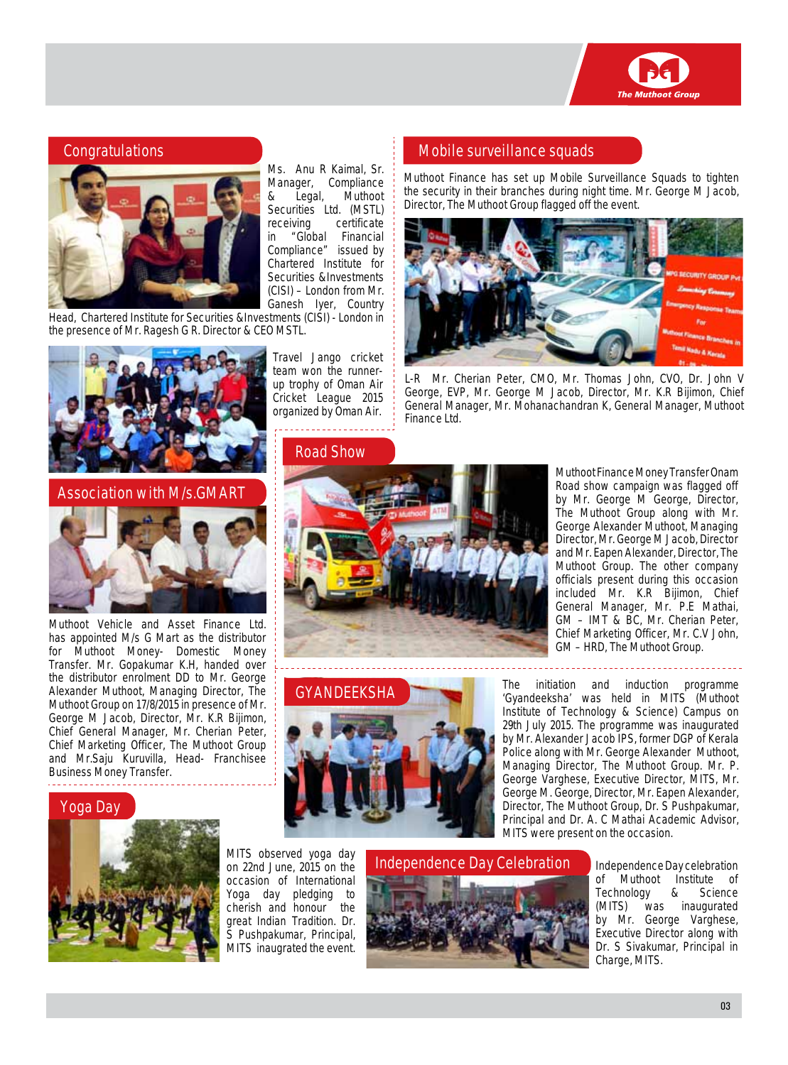

#### **Congratulations**



Ms. Anu R Kaimal, Sr. Manager, Compliance<br>& Legal, Muthoot & Legal, Muthoot Securities Ltd. (MSTL) receiving certificate in "Global Financial Compliance" issued by Chartered Institute for Securities &Investments (CISI) – London from Mr. Ganesh Iyer, Country

. . . . . . . . . . . . . . . . . . .

Head, Chartered Institute for Securities &Investments (CISI) - London in the presence of Mr. Ragesh G R. Director & CEO MSTL.



**Association with M/s.GMart**



Muthoot Vehicle and Asset Finance Ltd. has appointed M/s G Mart as the distributor for Muthoot Money- Domestic Money Transfer. Mr. Gopakumar K.H, handed over the distributor enrolment DD to Mr. George Alexander Muthoot, Managing Director, The Muthoot Group on 17/8/2015 in presence of Mr. George M Jacob, Director, Mr. K.R Bijimon, Chief General Manager, Mr. Cherian Peter, Chief Marketing Officer, The Muthoot Group and Mr.Saju Kuruvilla, Head- Franchisee Business Money Transfer.

#### **Yoga Day**



MITS observed yoga day on 22nd June, 2015 on the occasion of International Yoga day pledging to cherish and honour the great Indian Tradition. Dr. S Pushpakumar, Principal, MITS inaugrated the event.

**GyandeeksHa**

# **Independence Day Celebration**

Independence Day celebration of Muthoot Institute of Technology & Science (MITS) was inaugurated by Mr. George Varghese, Executive Director along with Dr. S Sivakumar, Principal in Charge, MITS.

# **Mobile surveillance squads**

Muthoot Finance has set up Mobile Surveillance Squads to tighten the security in their branches during night time. Mr. George M Jacob, Director, The Muthoot Group flagged off the event.



L-R Mr. Cherian Peter, CMO, Mr. Thomas John, CVO, Dr. John V George, EVP, Mr. George M Jacob, Director, Mr. K.R Bijimon, Chief General Manager, Mr. Mohanachandran K, General Manager, Muthoot Finance Ltd.



George Alexander Muthoot, Managing Director, Mr. George M Jacob, Director and Mr. Eapen Alexander, Director, The

Muthoot Group. The other company officials present during this occasion included Mr. K.R Bijimon, Chief General Manager, Mr. P.E Mathai, GM – IMT & BC, Mr. Cherian Peter, Chief Marketing Officer, Mr. C.V John, GM – HRD, The Muthoot Group. The initiation and induction programme 'Gyandeeksha' was held in MITS (Muthoot Institute of Technology & Science) Campus on 29th July 2015. The programme was inaugurated by Mr. Alexander Jacob IPS, former DGP of Kerala

Police along with Mr. George Alexander Muthoot, Managing Director, The Muthoot Group. Mr. P. George Varghese, Executive Director, MITS, Mr. George M. George, Director, Mr. Eapen Alexander, Director, The Muthoot Group, Dr. S Pushpakumar, Principal and Dr. A. C Mathai Academic Advisor,

MITS were present on the occasion.

Muthoot Finance Money Transfer Onam Road show campaign was flagged off by Mr. George M George, Director, The Muthoot Group along with Mr.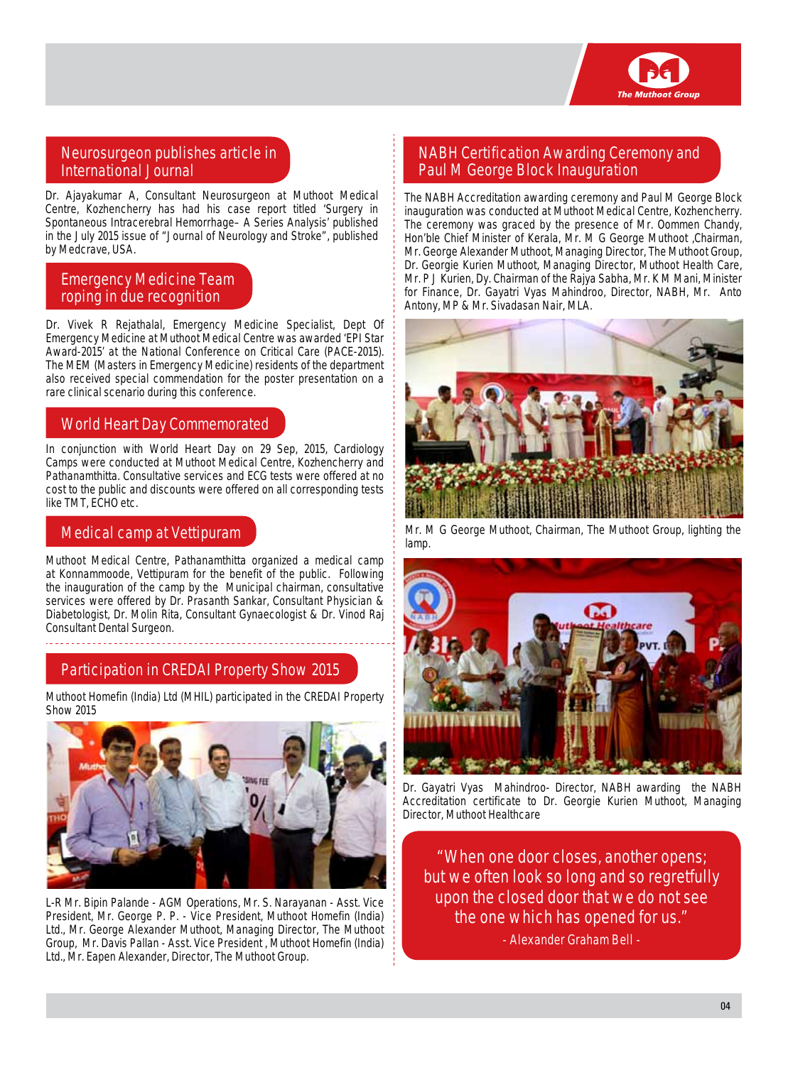

### **Neurosurgeon publishes article in International Journal**

Dr. Ajayakumar A, Consultant Neurosurgeon at Muthoot Medical Centre, Kozhencherry has had his case report titled 'Surgery in Spontaneous Intracerebral Hemorrhage– A Series Analysis' published in the July 2015 issue of "Journal of Neurology and Stroke", published by Medcrave, USA.

#### **Emergency Medicine Team roping in due recognition**

Dr. Vivek R Rejathalal, Emergency Medicine Specialist, Dept Of Emergency Medicine at Muthoot Medical Centre was awarded 'EPI Star Award-2015' at the National Conference on Critical Care (PACE-2015). The MEM (Masters in Emergency Medicine) residents of the department also received special commendation for the poster presentation on a rare clinical scenario during this conference.

#### **World Heart Day Commemorated**

In conjunction with World Heart Day on 29 Sep, 2015, Cardiology Camps were conducted at Muthoot Medical Centre, Kozhencherry and Pathanamthitta. Consultative services and ECG tests were offered at no cost to the public and discounts were offered on all corresponding tests like TMT, ECHO etc.

### **Medical camp at Vettipuram**

Muthoot Medical Centre, Pathanamthitta organized a medical camp at Konnammoode, Vettipuram for the benefit of the public. Following the inauguration of the camp by the Municipal chairman, consultative services were offered by Dr. Prasanth Sankar, Consultant Physician & Diabetologist, Dr. Molin Rita, Consultant Gynaecologist & Dr. Vinod Raj Consultant Dental Surgeon.

## **Participation in CREDAI Property Show 2015**

Muthoot Homefin (India) Ltd (MHIL) participated in the CREDAI Property Show 2015



L-R Mr. Bipin Palande - AGM Operations, Mr. S. Narayanan - Asst. Vice President, Mr. George P. P. - Vice President, Muthoot Homefin (India) Ltd., Mr. George Alexander Muthoot, Managing Director, The Muthoot Group, Mr. Davis Pallan - Asst. Vice President , Muthoot Homefin (India) Ltd., Mr. Eapen Alexander, Director, The Muthoot Group.

#### **NABH Certification Awarding Ceremony and Paul M George Block Inauguration**

The NABH Accreditation awarding ceremony and Paul M George Block inauguration was conducted at Muthoot Medical Centre, Kozhencherry. The ceremony was graced by the presence of Mr. Oommen Chandy, Hon'ble Chief Minister of Kerala, Mr. M G George Muthoot ,Chairman, Mr. George Alexander Muthoot, Managing Director, The Muthoot Group, Dr. Georgie Kurien Muthoot, Managing Director, Muthoot Health Care, Mr. P J Kurien, Dy. Chairman of the Rajya Sabha, Mr. K M Mani, Minister for Finance, Dr. Gayatri Vyas Mahindroo, Director, NABH, Mr. Anto Antony, MP & Mr. Sivadasan Nair, MLA.



Mr. M G George Muthoot, Chairman, The Muthoot Group, lighting the lamp.



Dr. Gayatri Vyas Mahindroo- Director, NABH awarding the NABH Accreditation certificate to Dr. Georgie Kurien Muthoot, Managing Director, Muthoot Healthcare

**"When one door closes, another opens; but we often look so long and so regretfully upon the closed door that we do not see the one which has opened for us."**

**- Alexander Graham Bell -**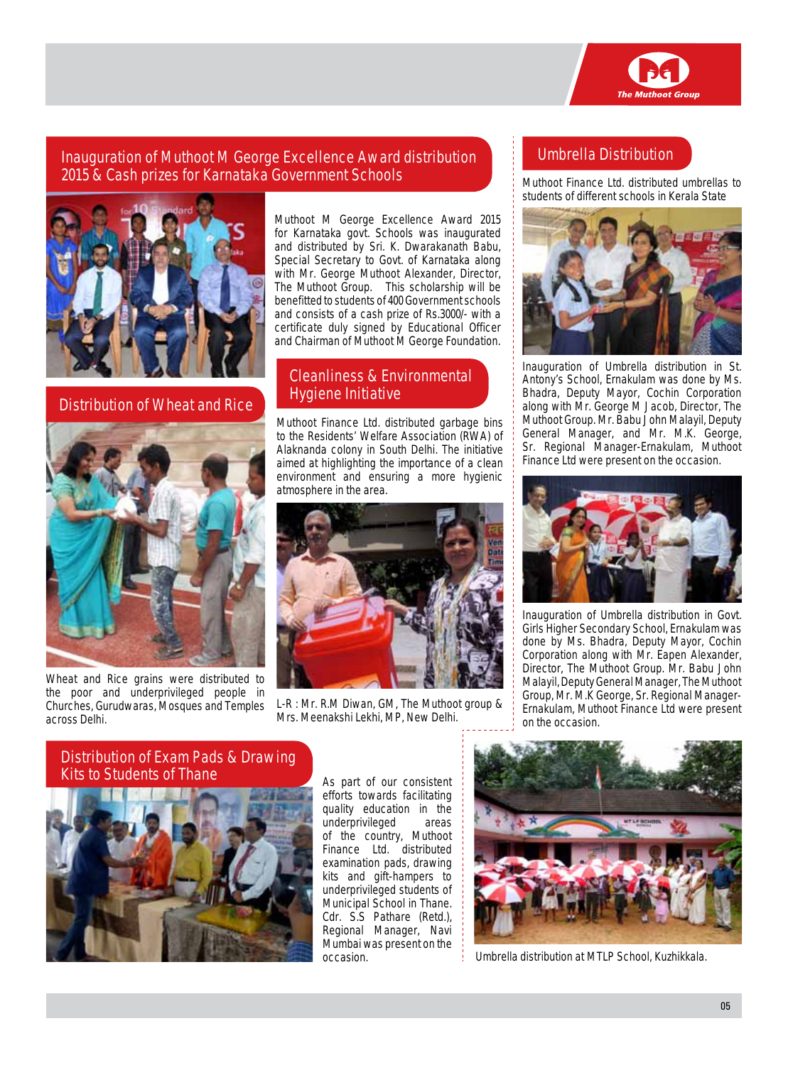

## **Inauguration of Muthoot M George Excellence Award distribution 2015 & Cash prizes for Karnataka Government Schools**



**Distribution of Wheat and Rice**



Wheat and Rice grains were distributed to the poor and underprivileged people in Churches, Gurudwaras, Mosques and Temples across Delhi.

Muthoot M George Excellence Award 2015 for Karnataka govt. Schools was inaugurated and distributed by Sri. K. Dwarakanath Babu, Special Secretary to Govt. of Karnataka along with Mr. George Muthoot Alexander, Director, The Muthoot Group. This scholarship will be benefitted to students of 400 Government schools and consists of a cash prize of Rs.3000/- with a certificate duly signed by Educational Officer and Chairman of Muthoot M George Foundation.

## **Cleanliness & Environmental Hygiene Initiative**

Muthoot Finance Ltd. distributed garbage bins to the Residents' Welfare Association (RWA) of Alaknanda colony in South Delhi. The initiative aimed at highlighting the importance of a clean environment and ensuring a more hygienic atmosphere in the area.



L-R : Mr. R.M Diwan, GM, The Muthoot group & Mrs. Meenakshi Lekhi, MP, New Delhi.

# **Umbrella Distribution**

Muthoot Finance Ltd. distributed umbrellas to students of different schools in Kerala State



Inauguration of Umbrella distribution in St. Antony's School, Ernakulam was done by Ms. Bhadra, Deputy Mayor, Cochin Corporation along with Mr. George M Jacob, Director, The Muthoot Group. Mr. Babu John Malayil, Deputy General Manager, and Mr. M.K. George, Sr. Regional Manager-Ernakulam, Muthoot Finance Ltd were present on the occasion.



Inauguration of Umbrella distribution in Govt. Girls Higher Secondary School, Ernakulam was done by Ms. Bhadra, Deputy Mayor, Cochin Corporation along with Mr. Eapen Alexander, Director, The Muthoot Group. Mr. Babu John Malayil, Deputy General Manager, The Muthoot Group, Mr. M.K George, Sr. Regional Manager-Ernakulam, Muthoot Finance Ltd were present on the occasion.

#### **Distribution of Exam Pads & Drawing Kits to Students of Thane**



As part of our consistent efforts towards facilitating quality education in the underprivileged areas of the country, Muthoot Finance Ltd. distributed examination pads, drawing kits and gift-hampers to underprivileged students of Municipal School in Thane. Cdr. S.S Pathare (Retd.), Regional Manager, Navi Mumbai was present on the occasion.



Umbrella distribution at MTLP School, Kuzhikkala.